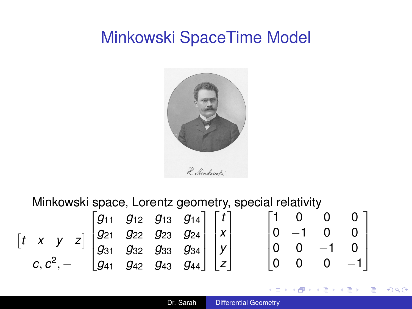# <span id="page-0-0"></span>Minkowski SpaceTime Model



Minkowski space, Lorentz geometry, special relativity

|                                                                                                                                                                                                                                                                             |  |  |  |  |  |                                                                                  | $10 - 1 0$ |  |
|-----------------------------------------------------------------------------------------------------------------------------------------------------------------------------------------------------------------------------------------------------------------------------|--|--|--|--|--|----------------------------------------------------------------------------------|------------|--|
|                                                                                                                                                                                                                                                                             |  |  |  |  |  |                                                                                  |            |  |
| $\begin{bmatrix} t & x & y & z \end{bmatrix} \begin{bmatrix} g_{11} & g_{12} & g_{13} & g_{14} \\ g_{21} & g_{22} & g_{23} & g_{24} \\ g_{31} & g_{32} & g_{33} & g_{34} \\ g_{41} & g_{42} & g_{43} & g_{44} \end{bmatrix} \begin{bmatrix} t \\ x \\ y \\ z \end{bmatrix}$ |  |  |  |  |  | $\begin{bmatrix} 0 & 0 & 0 \ -1 & 0 & 0 \ 0 & -1 & 0 \ 0 & 0 & -1 \end{bmatrix}$ |            |  |

4 0 8

 $\mathbb{R}^+$  $2990$ 

K 何 ▶ K ヨ ▶ K ヨ ▶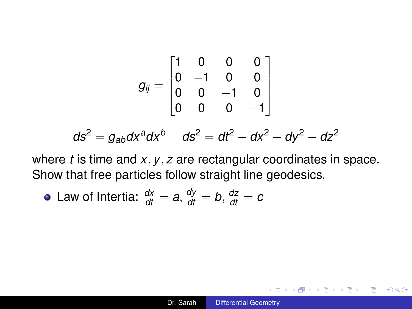$$
g_{ij} = \begin{bmatrix} 1 & 0 & 0 & 0 \\ 0 & -1 & 0 & 0 \\ 0 & 0 & -1 & 0 \\ 0 & 0 & 0 & -1 \end{bmatrix}
$$

$$
ds^{2} = g_{ab}dx^{a}dx^{b} \quad ds^{2} = dt^{2} - dx^{2} - dy^{2} - dz^{2}
$$

where *t* is time and *x*, *y*, *z* are rectangular coordinates in space. Show that free particles follow straight line geodesics.

• Law of Intertia: 
$$
\frac{dx}{dt} = a
$$
,  $\frac{dy}{dt} = b$ ,  $\frac{dz}{dt} = c$ 

÷.

K 何 ▶ K ヨ ▶ K ヨ ▶ ...

4 0 8

 $299$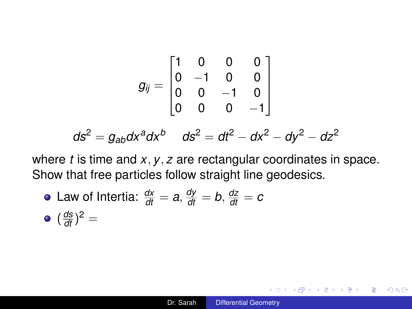$$
g_{ij} = \begin{bmatrix} 1 & 0 & 0 & 0 \\ 0 & -1 & 0 & 0 \\ 0 & 0 & -1 & 0 \\ 0 & 0 & 0 & -1 \end{bmatrix}
$$

$$
ds^{2} = g_{ab}dx^{a}dx^{b} \quad ds^{2} = dt^{2} - dx^{2} - dy^{2} - dz^{2}
$$

where *t* is time and *x*, *y*, *z* are rectangular coordinates in space. Show that free particles follow straight line geodesics.

\n- Law of Intertia: 
$$
\frac{dx}{dt} = a
$$
,  $\frac{dy}{dt} = b$ ,  $\frac{dz}{dt} = c$
\n- $(\frac{ds}{dt})^2 =$
\n

 $\left\{ \left( \left| \mathbf{P} \right| \right) \in \mathbb{R} \right\} \times \left\{ \left| \mathbf{P} \right| \right\}$ 

4 0 8

重。  $2990$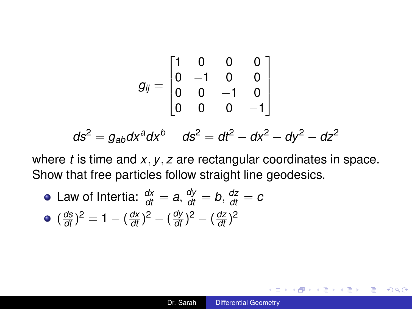<span id="page-3-0"></span>
$$
g_{ij} = \begin{bmatrix} 1 & 0 & 0 & 0 \\ 0 & -1 & 0 & 0 \\ 0 & 0 & -1 & 0 \\ 0 & 0 & 0 & -1 \end{bmatrix}
$$

$$
ds^{2} = g_{ab}dx^{a}dx^{b} \quad ds^{2} = dt^{2} - dx^{2} - dy^{2} - dz^{2}
$$

where *t* is time and *x*, *y*, *z* are rectangular coordinates in space. Show that free particles follow straight line geodesics.

Law of Intertia:  $\frac{dx}{dt} = a, \frac{dy}{dt} = b, \frac{dz}{dt} = c$  $(\frac{ds}{dt})^2 = 1 - (\frac{dx}{dt})^2 - (\frac{dy}{dt})^2 - (\frac{dz}{dt})^2$ 

K 何 ▶ K ヨ ▶ K ヨ ▶ ...

G.

 $2Q$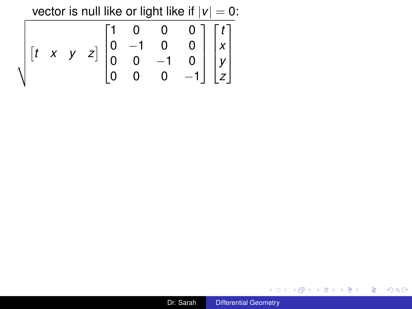vector is null like or light like if  $|v| = 0$ :

|  |  |  |  | $\sqrt{\begin{bmatrix} t & x & y & z \end{bmatrix}} \begin{bmatrix} 1 & 0 & 0 & 0 \\ 0 & -1 & 0 & 0 \\ 0 & 0 & -1 & 0 \\ 0 & 0 & 0 & -1 \end{bmatrix} \begin{bmatrix} t \\ x \\ y \\ z \end{bmatrix}$ |  |
|--|--|--|--|-------------------------------------------------------------------------------------------------------------------------------------------------------------------------------------------------------|--|
|  |  |  |  |                                                                                                                                                                                                       |  |

K ロ > K 倒 > K ミ > K ミ > 「ミ → の Q Q →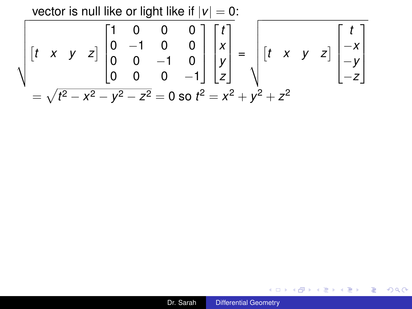<span id="page-5-0"></span>vector is null like or light like if 
$$
|v| = 0
$$
:  
\n
$$
\sqrt{\begin{bmatrix} t & x & y & z \end{bmatrix} \begin{bmatrix} 1 & 0 & 0 & 0 \\ 0 & -1 & 0 & 0 \\ 0 & 0 & -1 & 0 \\ 0 & 0 & 0 & -1 \end{bmatrix} \begin{bmatrix} t \\ x \\ y \\ z \end{bmatrix}} = \sqrt{\begin{bmatrix} t & x & y & z \end{bmatrix} \begin{bmatrix} t \\ -x \\ -y \\ -z \end{bmatrix}}
$$
\n
$$
= \sqrt{t^2 - x^2 - y^2 - z^2} = 0 \text{ so } t^2 = x^2 + y^2 + z^2
$$

K ロ > K 御 > K ミ > K ミ > 「ミ → の Q (V)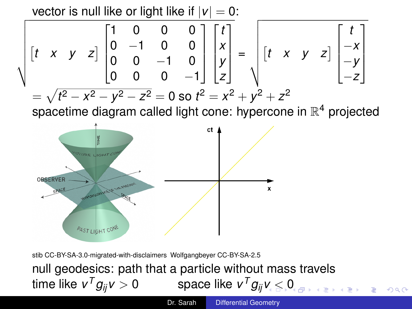<span id="page-6-0"></span>vector is null like or light like if  $|v| = 0$ :

$$
\sqrt{\begin{bmatrix} t & x & y & z \end{bmatrix}} \begin{bmatrix} 1 & 0 & 0 & 0 \\ 0 & -1 & 0 & 0 \\ 0 & 0 & -1 & 0 \\ 0 & 0 & 0 & -1 \end{bmatrix} \begin{bmatrix} t \\ x \\ y \\ z \end{bmatrix} = \sqrt{\begin{bmatrix} t & x & y & z \end{bmatrix}} \begin{bmatrix} t \\ -x \\ -y \\ -z \end{bmatrix}
$$

$$
= \sqrt{t^2 - x^2 - y^2 - z^2} = 0 \text{ so } t^2 = x^2 + y^2 + z^2
$$

spacetime diagram called light cone: hypercone in  $\mathbb{R}^4$  projected



stib CC-BY-SA-3.0-migrated-with-disclaimers Wolfgangbeyer CC-BY-SA-2.5 null geodesics: path that a particle without mass travels time like  $v^T g_{ii} v > 0$  ${}^{7}g_{ij}$ [v](#page-5-0)  $>$  [0](#page-3-0)  ${}^{5}$  space like  $v^{\mathsf{T}}g_{ij}$ v  $\leq$  0

 $299$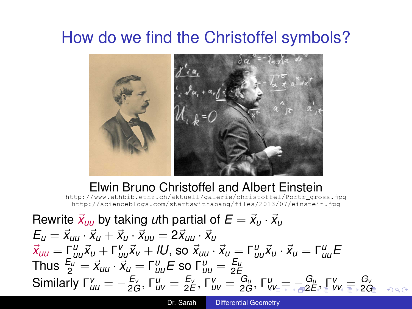# <span id="page-7-0"></span>How do we find the Christoffel symbols?



Elwin Bruno Christoffel and Albert Einstein [http://www.ethbib.ethz.ch/aktuell/galerie/christoffel/Portr\\_gross.jpg](http://www.ethbib.ethz.ch/aktuell/galerie/christoffel/Portr_gross.jpg) <http://scienceblogs.com/startswithabang/files/2013/07/einstein.jpg>

Rewrite  $\vec{x}_{uu}$  by taking *u*th partial of  $E = \vec{x}_u \cdot \vec{x}_u$  $E_{\mu} = \vec{x}_{\mu} \cdot \vec{x}_{\mu} + \vec{x}_{\mu} \cdot \vec{x}_{\mu} = 2 \vec{x}_{\mu} \cdot \vec{x}_{\mu}$  $\vec{x}_{uu} = \vec{\Gamma}_{uu}^u \vec{x}_u + \vec{\Gamma}_{uu}^v \vec{x}_v + lU$ , so  $\vec{x}_{uu} \cdot \vec{x}_u = \vec{\Gamma}_{uu}^u \vec{x}_u \cdot \vec{x}_u = \vec{\Gamma}_{uu}^u \vec{E}_{uu}$  $\tau_{\mu\nu}^{\text{E}} = \vec{x}_{\mu\nu} \cdot \vec{x}_{\mu} = \tau_{\mu\nu}^{\text{u}} E$  so  $\tau_{\mu\nu}^{\text{u}} = \frac{E_{\mu\nu}}{2E}$ Similarly  $\Gamma^{\nu}_{\iota\iota\iota}=-\frac{E_{\nu}}{2G},$  $\Gamma^{\nu}_{\iota\iota\iota}=-\frac{E_{\nu}}{2G},$  $\Gamma^{\nu}_{\iota\iota\iota}=-\frac{E_{\nu}}{2G},$  $\Gamma^{\nu}_{\iota\iota\iota}=-\frac{E_{\nu}}{2G},$  $\Gamma^{\nu}_{\iota\iota\iota}=-\frac{E_{\nu}}{2G},$  $\Gamma^{\nu}_{\iota\iota\iota}=-\frac{E_{\nu}}{2G},$   $\Gamma^{\nu}_{\iota\nu\iota}=\frac{E_{\nu}}{2E},$  $\Gamma^{\nu}_{\iota\nu\iota}=\frac{E_{\nu}}{2E},$  $\Gamma^{\nu}_{\iota\nu\iota}=\frac{E_{\nu}}{2E},$   $\Gamma^{\nu}_{\iota\nu\iota}=\frac{G_{\iota\iota}}{2G},$  $\Gamma^{\nu}_{\iota\nu\iota}=\frac{G_{\iota\iota}}{2G},$  $\Gamma^{\nu}_{\iota\nu\iota}=\frac{G_{\iota\iota}}{2G},$   $\Gamma^{\nu}_{\iota\nu\iota}=\frac{G_{\iota\iota}}{\sqrt{2}E},$   $\Gamma^{\nu}_{\nu\iota\iota}=\frac{G_{\nu}}{2G}$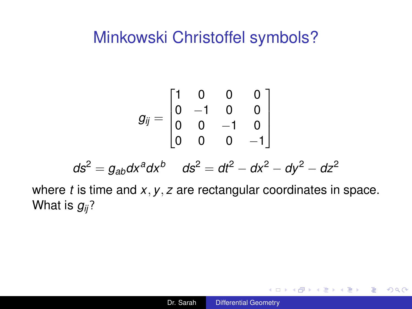### <span id="page-8-0"></span>Minkowski Christoffel symbols?

$$
g_{ij} = \begin{bmatrix} 1 & 0 & 0 & 0 \\ 0 & -1 & 0 & 0 \\ 0 & 0 & -1 & 0 \\ 0 & 0 & 0 & -1 \end{bmatrix}
$$

$$
ds2 = gabdxadxb \quad ds2 = dt2 - dx2 - dy2 - dz2
$$

where *t* is time and *x*, *y*, *z* are rectangular coordinates in space. What is *gij*?

重し  $2990$ 

イロト イ押 トイヨ トイヨト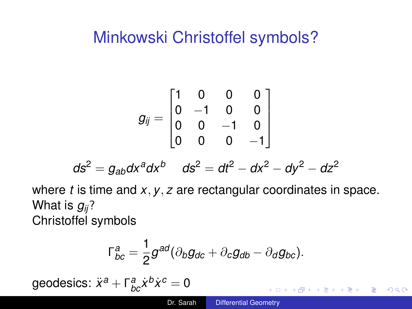# <span id="page-9-0"></span>Minkowski Christoffel symbols?

$$
g_{ij} = \begin{bmatrix} 1 & 0 & 0 & 0 \\ 0 & -1 & 0 & 0 \\ 0 & 0 & -1 & 0 \\ 0 & 0 & 0 & -1 \end{bmatrix}
$$

$$
ds^2 = g_{ab}dx^a dx^b \quad ds^2 = dt^2 - dx^2 - dy^2 - dz^2
$$

where *t* is time and *x*, *y*, *z* are rectangular coordinates in space. What is *gij*? Christoffel symbols

$$
\Gamma_{bc}^a = \frac{1}{2}g^{ad}(\partial_b g_{dc} + \partial_c g_{db} - \partial_d g_{bc}).
$$

 $\mathbf{geodesics}\colon \ddot{x}^a + \mathsf{\Gamma}^a_{bc}\dot{x}^b\dot{x}^c = \mathsf{0}$ 

4 ロ ) (何 ) (日 ) (日 )

÷.

 $2Q$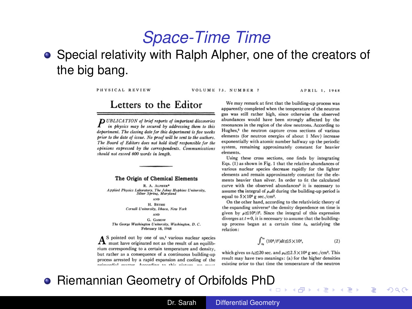### *Space-Time Time*

### Special relativity with Ralph Alpher, one of the creators of the big bang.

PHYSICAL REVIEW

VOLUME 73. NUMBER 7

APRIL 1 1948

### Letters to the Editor

**D** UBLICATION of brief reports of important discoveries in physics may be secured by addressing them to this department. The closing date for this department is five meets prior to the date of issue. No proof will be sent to the authors. The Board of Editors does not hold itself responsible for the opinions expressed by the correspondents. Communications should not exceed 600 words in length.

#### The Origin of Chemical Elements

R. A. ALPHER\* Applied Physics Laboratory, The Johns Hopkins University,<br>Silver Spring, Maryland AND H. RETHE Cornell University, Ithaca, New York **AND** G. GAMOW The George Washington University, Washington, D. C. February 18, 1948

A S pointed out by one of us,<sup>1</sup> various nuclear species must have originated not as the result of an equilibrium corresponding to a certain temperature and density, but rather as a consequence of a continuous building-up process arrested by a rapid expansion and cooling of the neimoedial mattor. According to this picture, and

We may remark at first that the building-up process was apparently completed when the temperature of the neutron gas was still rather high, since otherwise the observed abundances would have been strongly affected by the resonances in the region of the slow neutrons. According to Hughes.<sup>2</sup> the neutron capture cross sections of various elements (for neutron energies of about 1 Mey) increase exponentially with atomic number halfway up the periodic system, remaining approximately constant for beavier elements.

Using these cross sections, one finds by integrating Eqs.  $(1)$  as shown in Fig. 1 that the relative abundances of various nuclear species decrease rapidly for the lighter elements and remain approximately constant for the elements heavier than silver. In order to fit the calculated curve with the observed abundances<sup>3</sup> it is necessary to assume the integral of  $\rho_n dt$  during the building-up period is equal to  $5 \times 10^4$  g sec./cm<sup>3</sup>.

On the other hand, according to the relativistic theory of the expanding universe<sup>4</sup> the density dependence on time is given by  $\rho \leq 10^6/\ell^2$ . Since the integral of this expression diverges at  $t = 0$ , it is necessary to assume that the buildingup process began at a certain time  $t_0$ , satisfying the relation:

$$
\int_{t_0}^{\infty} (10^4/t^2)dt \le 5 \times 10^4,\tag{2}
$$

 $QQ$ 

which gives us  $t_0 \le 20$  sec. and  $\rho_0 \le 2.5 \times 10^5$  g sec./cm<sup>3</sup>. This result may have two meanings: (a) for the higher densities existing prior to that time the temperature of the neutron

### **• Riemannian Geometry of Orbifolds P[hD](#page-9-0)**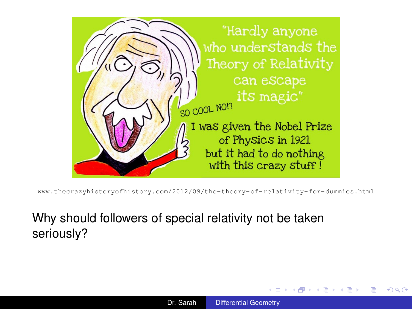

<www.thecrazyhistoryofhistory.com/2012/09/the-theory-of-relativity-for-dummies.html>

### Why should followers of special relativity not be taken seriously?

**K ロ ⊁ K 伊 ⊁ K ヨ ⊁** 

 $2Q$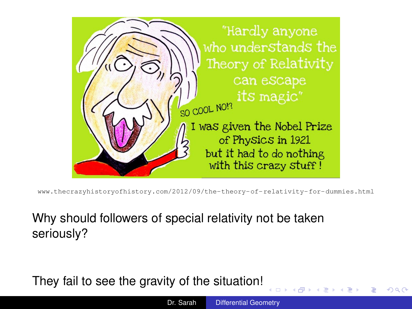

<www.thecrazyhistoryofhistory.com/2012/09/the-theory-of-relativity-for-dummies.html>

### Why should followers of special relativity not be taken seriously?

They fail to see the gravity of the situation!

4 D.K.

 $2Q$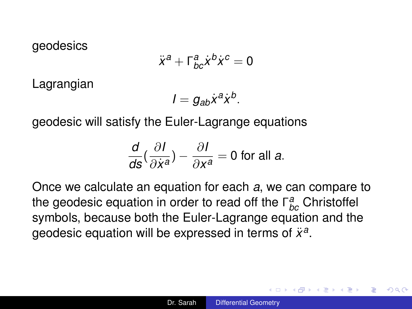geodesics

$$
\ddot{x}^a + \Gamma^a_{bc} \dot{x}^b \dot{x}^c = 0
$$

Lagrangian

$$
I=g_{ab}\dot{x}^a\dot{x}^b.
$$

geodesic will satisfy the Euler-Lagrange equations

$$
\frac{d}{ds}(\frac{\partial I}{\partial \dot{x}^a})-\frac{\partial I}{\partial x^a}=0
$$
 for all a.

Once we calculate an equation for each *a*, we can compare to the geodesic equation in order to read off the Γ *a bc* Christoffel symbols, because both the Euler-Lagrange equation and the geodesic equation will be expressed in terms of  $\ddot{x}^a$ .

 $\langle \oplus \rangle$  >  $\langle \oplus \rangle$  >  $\langle \oplus \rangle$ 

÷.  $QQ$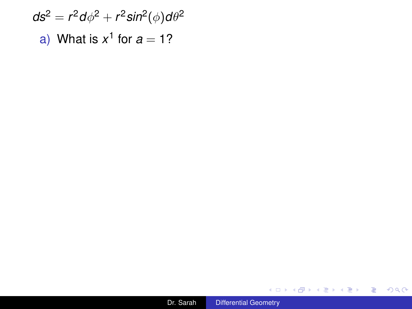$d$ s $^2 = r^2 d\phi^2 + r^2 sin^2(\phi) d\theta^2$ a) What is  $x^1$  for  $a = 1$ ?

メロトメ 御 トメ 差 トメ 差 トー

高山  $2990$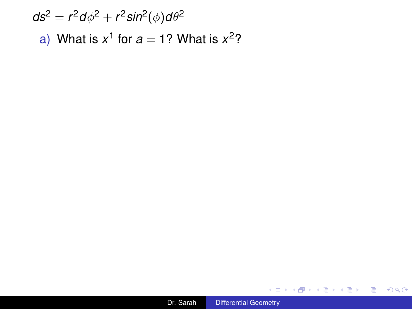$d$ s $^2 = r^2 d\phi^2 + r^2 sin^2(\phi) d\theta^2$ a) What is  $x^1$  for  $a = 1$ ? What is  $x^2$ ?

メロトメ 御 トメ 差 トメ 差 トー

高山  $2990$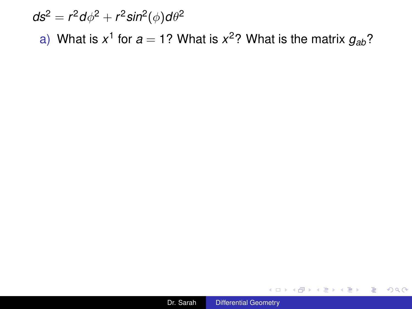$d$ s $^2 = r^2 d\phi^2 + r^2 sin^2(\phi) d\theta^2$ a) What is  $x^1$  for  $a = 1$ ? What is  $x^2$ ? What is the matrix  $g_{ab}$ ?

 $\left\{ \left( \left| \mathbf{P} \right| \right) \in \mathbb{R} \right\} \times \left\{ \left| \mathbf{P} \right| \right\}$ 

4 0 8

重し  $2990$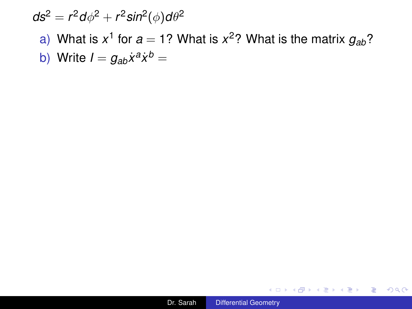# $d$ s $^2 = r^2 d\phi^2 + r^2 sin^2(\phi) d\theta^2$ a) What is  $x^1$  for  $a = 1$ ? What is  $x^2$ ? What is the matrix  $g_{ab}$ ?

b) Write  $I = g_{ab}\dot{x}^a\dot{x}^b =$ 

K 何 ▶ K ヨ ▶ K ヨ ▶ ...

4 0 8

 $\equiv$   $\Omega Q$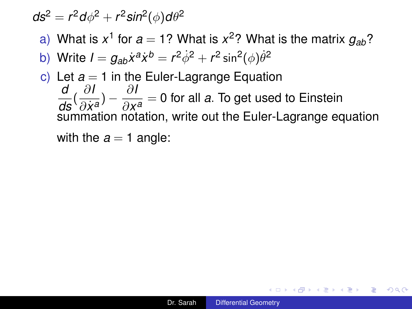### $d$ s $^2 = r^2 d\phi^2 + r^2 sin^2(\phi) d\theta^2$

- a) What is  $x^1$  for  $a = 1$ ? What is  $x^2$ ? What is the matrix  $g_{ab}$ ?
- b) Write  $I = g_{ab}\dot{x}^a\dot{x}^b = r^2\dot{\phi}^2 + r^2\sin^2(\phi)\dot{\theta}^2$
- c) Let  $a = 1$  in the Euler-Lagrange Equation *d ds* ( ∂*I*  $\frac{\partial I}{\partial \dot{x}^{\mathbf{a}}}\big) - \frac{\partial I}{\partial x}$ ∂*x a* = 0 for all *a*. To get used to Einstein summation notation, write out the Euler-Lagrange equation

with the  $a = 1$  angle:

イロン イ何ン イヨン イヨン・ヨー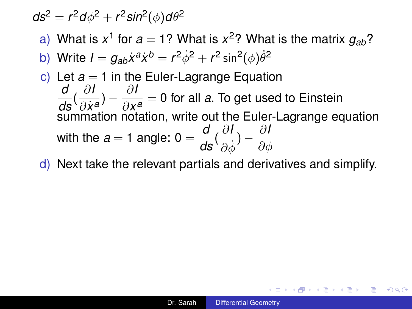$$
ds^2 = r^2 d\phi^2 + r^2 sin^2(\phi) d\theta^2
$$

- a) What is  $x^1$  for  $a = 1$ ? What is  $x^2$ ? What is the matrix  $g_{ab}$ ?
- b) Write  $I = g_{ab}\dot{x}^a\dot{x}^b = r^2\dot{\phi}^2 + r^2\sin^2(\phi)\dot{\theta}^2$
- c) Let  $a = 1$  in the Euler-Lagrange Equation *d ds* ( ∂*I*  $\frac{\partial I}{\partial \dot{x}^{\mathbf{a}}}\big) - \frac{\partial I}{\partial x}$ ∂*x*  $\frac{1}{a} = 0$  for all *a*. To get used to Einstein summation notation, write out the Euler-Lagrange equation with the  $a = 1$  angle:  $0 = \frac{d}{ds}(\frac{\partial l}{\partial \dot{q}})$  $\frac{\partial I}{\partial \dot{\phi}})-\frac{\partial I}{\partial \phi}$  $\partial \phi$
- d) Next take the relevant partials and derivatives and simplify.

イ御 トメ ヨ トメ ヨ トッ ヨー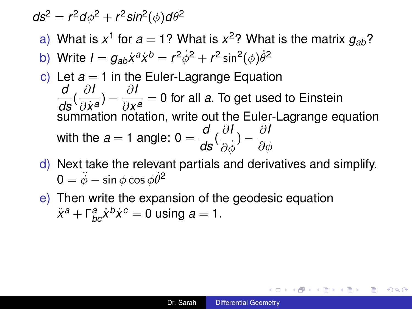### $d$ s $^2 = r^2 d\phi^2 + r^2 sin^2(\phi) d\theta^2$

- a) What is  $x^1$  for  $a = 1$ ? What is  $x^2$ ? What is the matrix  $g_{ab}$ ?
- b) Write  $I = g_{ab}\dot{x}^a\dot{x}^b = r^2\dot{\phi}^2 + r^2\sin^2(\phi)\dot{\theta}^2$
- c) Let  $a = 1$  in the Euler-Lagrange Equation *d ds* ( ∂*I*  $\frac{\partial I}{\partial \dot{x}^{\mathbf{a}}}\big) - \frac{\partial I}{\partial x}$ ∂*x a* = 0 for all *a*. To get used to Einstein summation notation, write out the Euler-Lagrange equation with the  $a = 1$  angle:  $0 = \frac{d}{ds}(\frac{\partial l}{\partial \dot{q}})$  $\frac{\partial I}{\partial \dot{\phi}})-\frac{\partial I}{\partial \phi}$  $\partial \phi$
- d) Next take the relevant partials and derivatives and simplify.  $\pmb{0} = \ddot{\phi} - \sin \phi \cos \phi \dot{\theta}^{\mathbf{2}}$
- e) Then write the expansion of the geodesic equation  $\ddot{x}^a + \Gamma^a_{bc} \dot{x}^b \dot{x}^c = 0$  using  $a = 1$ .

イロト イ押 トイヨ トイヨ トーヨー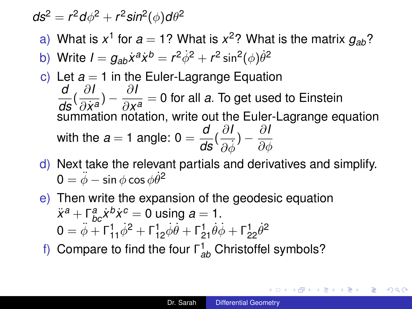$$
ds^2 = r^2 d\phi^2 + r^2 sin^2(\phi) d\theta^2
$$

- a) What is  $x^1$  for  $a = 1$ ? What is  $x^2$ ? What is the matrix  $g_{ab}$ ?
- b) Write  $I = g_{ab}\dot{x}^a\dot{x}^b = r^2\dot{\phi}^2 + r^2\sin^2(\phi)\dot{\theta}^2$
- c) Let  $a = 1$  in the Euler-Lagrange Equation *d ds* ( ∂*I*  $\frac{\partial I}{\partial \dot{x}^{\mathbf{a}}}\big) - \frac{\partial I}{\partial x}$ ∂*x a* = 0 for all *a*. To get used to Einstein summation notation, write out the Euler-Lagrange equation with the  $a = 1$  angle:  $0 = \frac{d}{ds}(\frac{\partial l}{\partial \dot{q}})$  $\frac{\partial I}{\partial \dot{\phi}})-\frac{\partial I}{\partial \phi}$  $\partial \phi$
- d) Next take the relevant partials and derivatives and simplify.  $\pmb{0} = \ddot{\phi} - \sin \phi \cos \phi \dot{\theta}^{\mathbf{2}}$
- e) Then write the expansion of the geodesic equation  $\ddot{x}^a + \int_{bc}^a \dot{x}^b \dot{x}^c = 0$  using  $a = 1$ .  $0 = \ddot{\phi} + \Gamma_{11}^1 \dot{\phi}^2 + \Gamma_{12}^1 \dot{\phi} \dot{\theta} + \Gamma_{21}^1 \dot{\theta} \dot{\phi} + \Gamma_{22}^1 \dot{\theta}^2$
- f) Compare to find the four Γ 1 *ab* Christoffel symbols?

K ロ ▶ K @ ▶ K 할 ▶ K 할 ▶ ① 할 → ① Q ①